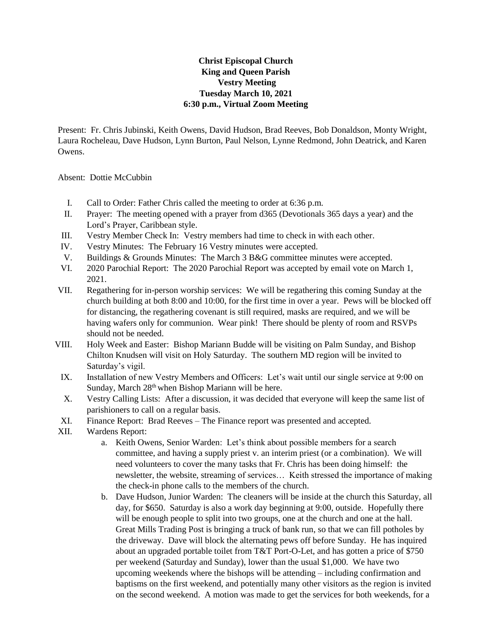## **Christ Episcopal Church King and Queen Parish Vestry Meeting Tuesday March 10, 2021 6:30 p.m., Virtual Zoom Meeting**

Present: Fr. Chris Jubinski, Keith Owens, David Hudson, Brad Reeves, Bob Donaldson, Monty Wright, Laura Rocheleau, Dave Hudson, Lynn Burton, Paul Nelson, Lynne Redmond, John Deatrick, and Karen Owens.

Absent: Dottie McCubbin

- I. Call to Order: Father Chris called the meeting to order at 6:36 p.m.
- II. Prayer: The meeting opened with a prayer from d365 (Devotionals 365 days a year) and the Lord's Prayer, Caribbean style.
- III. Vestry Member Check In: Vestry members had time to check in with each other.
- IV. Vestry Minutes: The February 16 Vestry minutes were accepted.
- V. Buildings & Grounds Minutes: The March 3 B&G committee minutes were accepted.
- VI. 2020 Parochial Report: The 2020 Parochial Report was accepted by email vote on March 1, 2021.
- VII. Regathering for in-person worship services: We will be regathering this coming Sunday at the church building at both 8:00 and 10:00, for the first time in over a year. Pews will be blocked off for distancing, the regathering covenant is still required, masks are required, and we will be having wafers only for communion. Wear pink! There should be plenty of room and RSVPs should not be needed.
- VIII. Holy Week and Easter: Bishop Mariann Budde will be visiting on Palm Sunday, and Bishop Chilton Knudsen will visit on Holy Saturday. The southern MD region will be invited to Saturday's vigil.
	- IX. Installation of new Vestry Members and Officers: Let's wait until our single service at 9:00 on Sunday, March 28<sup>th</sup> when Bishop Mariann will be here.
	- X. Vestry Calling Lists: After a discussion, it was decided that everyone will keep the same list of parishioners to call on a regular basis.
	- XI. Finance Report: Brad Reeves The Finance report was presented and accepted.
- XII. Wardens Report:
	- a. Keith Owens, Senior Warden: Let's think about possible members for a search committee, and having a supply priest v. an interim priest (or a combination). We will need volunteers to cover the many tasks that Fr. Chris has been doing himself: the newsletter, the website, streaming of services… Keith stressed the importance of making the check-in phone calls to the members of the church.
	- b. Dave Hudson, Junior Warden: The cleaners will be inside at the church this Saturday, all day, for \$650. Saturday is also a work day beginning at 9:00, outside. Hopefully there will be enough people to split into two groups, one at the church and one at the hall. Great Mills Trading Post is bringing a truck of bank run, so that we can fill potholes by the driveway. Dave will block the alternating pews off before Sunday. He has inquired about an upgraded portable toilet from T&T Port-O-Let, and has gotten a price of \$750 per weekend (Saturday and Sunday), lower than the usual \$1,000. We have two upcoming weekends where the bishops will be attending – including confirmation and baptisms on the first weekend, and potentially many other visitors as the region is invited on the second weekend. A motion was made to get the services for both weekends, for a